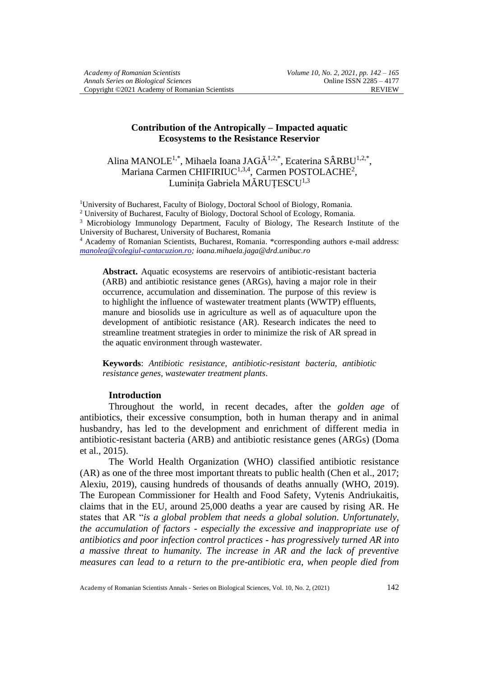## **Contribution of the Antropically – Impacted aquatic Ecosystems to the Resistance Reservior**

Alina MANOLE<sup>1,\*</sup>, Mihaela Ioana JAGĂ<sup>1,2,\*</sup>, Ecaterina SÂRBU<sup>1,2,\*</sup>, Mariana Carmen CHIFIRIUC $^{1,3,4}$ , Carmen POSTOLACHE<sup>2</sup>, Luminița Gabriela MĂRUȚESCU<sup>1,3</sup>

<sup>1</sup>University of Bucharest, Faculty of Biology, Doctoral School of Biology, Romania.

<sup>2</sup> University of Bucharest, Faculty of Biology, Doctoral School of Ecology, Romania.

<sup>3</sup> Microbiology Immunology Department, Faculty of Biology, The Research Institute of the University of Bucharest, University of Bucharest, Romania

<sup>4</sup> Academy of Romanian Scientists, Bucharest, Romania. \*corresponding authors e-mail address: *[manolea@colegiul-cantacuzion.ro;](mailto:manolea@colegiul-cantacuzion.ro) ioana.mihaela.jaga@drd.unibuc.ro*

**Abstract.** Aquatic ecosystems are reservoirs of antibiotic-resistant bacteria (ARB) and antibiotic resistance genes (ARGs), having a major role in their occurrence, accumulation and dissemination. The purpose of this review is to highlight the influence of wastewater treatment plants (WWTP) effluents, manure and biosolids use in agriculture as well as of aquaculture upon the development of antibiotic resistance (AR). Research indicates the need to streamline treatment strategies in order to minimize the risk of AR spread in the aquatic environment through wastewater.

**Keywords**: *Antibiotic resistance, antibiotic-resistant bacteria, antibiotic resistance genes, wastewater treatment plants*.

### **Introduction**

Throughout the world, in recent decades, after the *golden age* of antibiotics, their excessive consumption, both in human therapy and in animal husbandry, has led to the development and enrichment of different media in antibiotic-resistant bacteria (ARB) and antibiotic resistance genes (ARGs) (Doma et al., 2015).

The World Health Organization (WHO) classified antibiotic resistance (AR) as one of the three most important threats to public health (Chen et al., 2017; Alexiu, 2019), causing hundreds of thousands of deaths annually (WHO, 2019). The European Commissioner for Health and Food Safety, Vytenis Andriukaitis, claims that in the EU, around 25,000 deaths a year are caused by rising AR. He states that AR "*is a global problem that needs a global solution. Unfortunately, the accumulation of factors - especially the excessive and inappropriate use of antibiotics and poor infection control practices - has progressively turned AR into a massive threat to humanity. The increase in AR and the lack of preventive measures can lead to a return to the pre-antibiotic era, when people died from*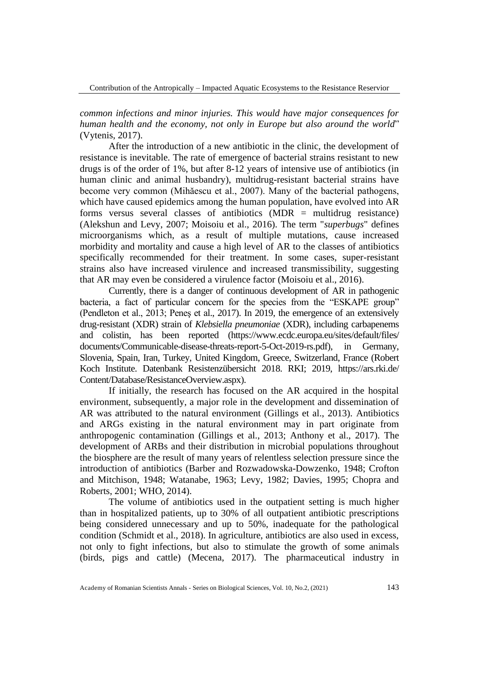Contribution of the Antropically – Impacted Aquatic Ecosystems to the Resistance Reservior

*common infections and minor injuries. This would have major consequences for human health and the economy, not only in Europe but also around the world*" (Vytenis, 2017).

After the introduction of a new antibiotic in the clinic, the development of resistance is inevitable. The rate of emergence of bacterial strains resistant to new drugs is of the order of 1%, but after 8-12 years of intensive use of antibiotics (in human clinic and animal husbandry), multidrug-resistant bacterial strains have become very common (Mihăescu et al., 2007). Many of the bacterial pathogens, which have caused epidemics among the human population, have evolved into AR forms versus several classes of antibiotics (MDR = multidrug resistance) (Alekshun and Levy, 2007; Moisoiu et al., 2016). The term "*superbugs*" defines microorganisms which, as a result of multiple mutations, cause increased morbidity and mortality and cause a high level of AR to the classes of antibiotics specifically recommended for their treatment. In some cases, super-resistant strains also have increased virulence and increased transmissibility, suggesting that AR may even be considered a virulence factor (Moisoiu et al., 2016).

Currently, there is a danger of continuous development of AR in pathogenic bacteria, a fact of particular concern for the species from the "ESKAPE group" (Pendleton et al., 2013; Peneş et al., 2017). In 2019, the emergence of an extensively drug-resistant (XDR) strain of *Klebsiella pneumoniae* (XDR), including carbapenems and colistin, has been reported [\(https://www.ecdc.europa.eu/sites/default/files/](https://www.ecdc.europa.eu/sites/default/files/) documents/Communicable-disease-threats-report-5-Oct-2019-rs.pdf), in Germany, Slovenia, Spain, Iran, Turkey, United Kingdom, Greece, Switzerland, France (Robert Koch Institute. Datenbank Resistenzübersicht 2018. RKI; 2019, [https://ars.rki.de/](https://ars.rki.de/%20Content/) [Content/D](https://ars.rki.de/%20Content/)atabase/ResistanceOverview.aspx).

If initially, the research has focused on the AR acquired in the hospital environment, subsequently, a major role in the development and dissemination of AR was attributed to the natural environment (Gillings et al., 2013). Antibiotics and ARGs existing in the natural environment may in part originate from anthropogenic contamination (Gillings et al., 2013; Anthony et al., 2017). The development of ARBs and their distribution in microbial populations throughout the biosphere are the result of many years of relentless selection pressure since the introduction of antibiotics (Barber and Rozwadowska-Dowzenko, 1948; Crofton and Mitchison, 1948; Watanabe, 1963; Levy, 1982; Davies, 1995; Chopra and Roberts, 2001; WHO, 2014).

The volume of antibiotics used in the outpatient setting is much higher than in hospitalized patients, up to 30% of all outpatient antibiotic prescriptions being considered unnecessary and up to 50%, inadequate for the pathological condition (Schmidt et al., 2018). In agriculture, antibiotics are also used in excess, not only to fight infections, but also to stimulate the growth of some animals (birds, pigs and cattle) (Mecena, 2017). The pharmaceutical industry in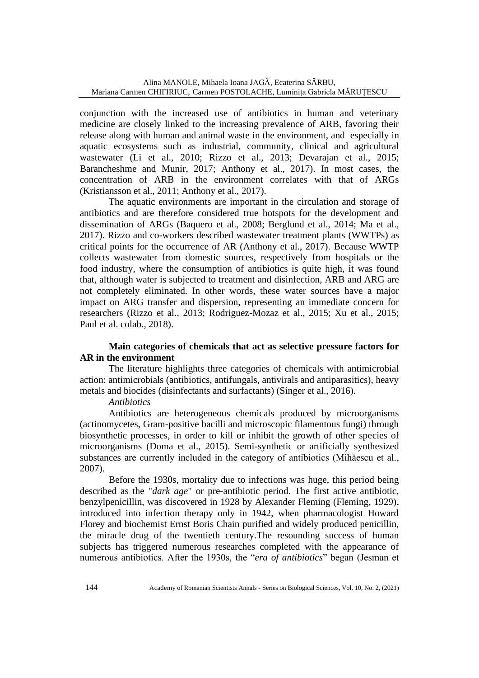conjunction with the increased use of antibiotics in human and veterinary medicine are closely linked to the increasing prevalence of ARB, favoring their release along with human and animal waste in the environment, and especially in aquatic ecosystems such as industrial, community, clinical and agricultural wastewater (Li et al., 2010; Rizzo et al., 2013; Devarajan et al., 2015; Barancheshme and Munir, 2017; Anthony et al., 2017). In most cases, the concentration of ARB in the environment correlates with that of ARGs (Kristiansson et al., 2011; Anthony et al., 2017).

The aquatic environments are important in the circulation and storage of antibiotics and are therefore considered true hotspots for the development and dissemination of ARGs (Baquero et al., 2008; Berglund et al., 2014; Ma et al., 2017). Rizzo and co-workers described wastewater treatment plants (WWTPs) as critical points for the occurrence of AR (Anthony et al., 2017). Because WWTP collects wastewater from domestic sources, respectively from hospitals or the food industry, where the consumption of antibiotics is quite high, it was found that, although water is subjected to treatment and disinfection, ARB and ARG are not completely eliminated. In other words, these water sources have a major impact on ARG transfer and dispersion, representing an immediate concern for researchers (Rizzo et al., 2013; Rodriguez-Mozaz et al., 2015; Xu et al., 2015; Paul et al. colab., 2018).

# **Main categories of chemicals that act as selective pressure factors for AR in the environment**

The literature highlights three categories of chemicals with antimicrobial action: antimicrobials (antibiotics, antifungals, antivirals and antiparasitics), heavy metals and biocides (disinfectants and surfactants) (Singer et al., 2016).

### *Antibiotics*

Antibiotics are heterogeneous chemicals produced by microorganisms (actinomycetes, Gram-positive bacilli and microscopic filamentous fungi) through biosynthetic processes, in order to kill or inhibit the growth of other species of microorganisms (Doma et al., 2015). Semi-synthetic or artificially synthesized substances are currently included in the category of antibiotics (Mihăescu et al., 2007).

Before the 1930s, mortality due to infections was huge, this period being described as the "*dark age*" or pre-antibiotic period. The first active antibiotic, benzylpenicillin, was discovered in 1928 by Alexander Fleming (Fleming, 1929), introduced into infection therapy only in 1942, when pharmacologist Howard Florey and biochemist Ernst Boris Chain purified and widely produced penicillin, the miracle drug of the twentieth century.The resounding success of human subjects has triggered numerous researches completed with the appearance of numerous antibiotics. After the 1930s, the "*era of antibiotics*" began (Jesman et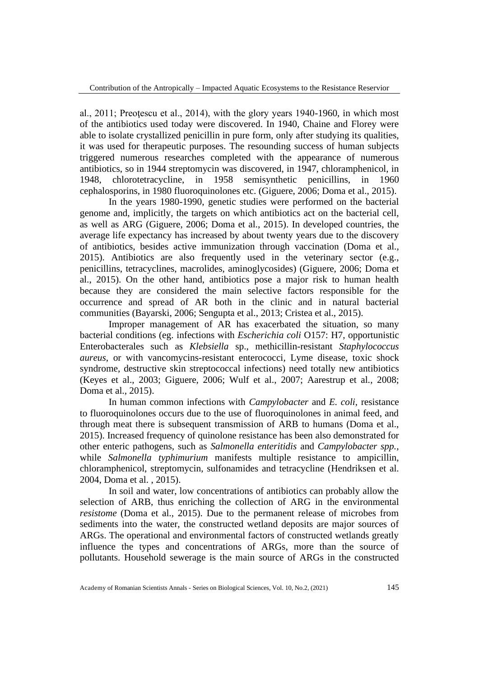al., 2011; Preoţescu et al., 2014), with the glory years 1940-1960, in which most of the antibiotics used today were discovered. In 1940, Chaine and Florey were able to isolate crystallized penicillin in pure form, only after studying its qualities, it was used for therapeutic purposes. The resounding success of human subjects triggered numerous researches completed with the appearance of numerous antibiotics, so in 1944 streptomycin was discovered, in 1947, chloramphenicol, in 1948, chlorotetracycline, in 1958 semisynthetic penicillins, in 1960 cephalosporins, in 1980 fluoroquinolones etc. (Giguere, 2006; Doma et al., 2015).

In the years 1980-1990, genetic studies were performed on the bacterial genome and, implicitly, the targets on which antibiotics act on the bacterial cell, as well as ARG (Giguere, 2006; Doma et al., 2015). In developed countries, the average life expectancy has increased by about twenty years due to the discovery of antibiotics, besides active immunization through vaccination (Doma et al., 2015). Antibiotics are also frequently used in the veterinary sector (e.g., penicillins, tetracyclines, macrolides, aminoglycosides) (Giguere, 2006; Doma et al., 2015). On the other hand, antibiotics pose a major risk to human health because they are considered the main selective factors responsible for the occurrence and spread of AR both in the clinic and in natural bacterial communities (Bayarski, 2006; Sengupta et al., 2013; Cristea et al., 2015).

Improper management of AR has exacerbated the situation, so many bacterial conditions (eg. infections with *Escherichia coli* O157: H7, opportunistic Enterobacterales such as *Klebsiella* sp., methicillin-resistant *Staphylococcus aureus*, or with vancomycins-resistant enterococci*,* Lyme disease, toxic shock syndrome, destructive skin streptococcal infections) need totally new antibiotics (Keyes et al., 2003; Giguere, 2006; Wulf et al., 2007; Aarestrup et al., 2008; Doma et al., 2015).

In human common infections with *Campylobacter* and *E. coli*, resistance to fluoroquinolones occurs due to the use of fluoroquinolones in animal feed, and through meat there is subsequent transmission of ARB to humans (Doma et al., 2015). Increased frequency of quinolone resistance has been also demonstrated for other enteric pathogens, such as *Salmonella enteritidis* and *Campylobacter spp.*, while *Salmonella typhimurium* manifests multiple resistance to ampicillin, chloramphenicol, streptomycin, sulfonamides and tetracycline (Hendriksen et al. 2004, Doma et al. , 2015).

In soil and water, low concentrations of antibiotics can probably allow the selection of ARB, thus enriching the collection of ARG in the environmental *resistome* (Doma et al., 2015). Due to the permanent release of microbes from sediments into the water, the constructed wetland deposits are major sources of ARGs. The operational and environmental factors of constructed wetlands greatly influence the types and concentrations of ARGs, more than the source of pollutants. Household sewerage is the main source of ARGs in the constructed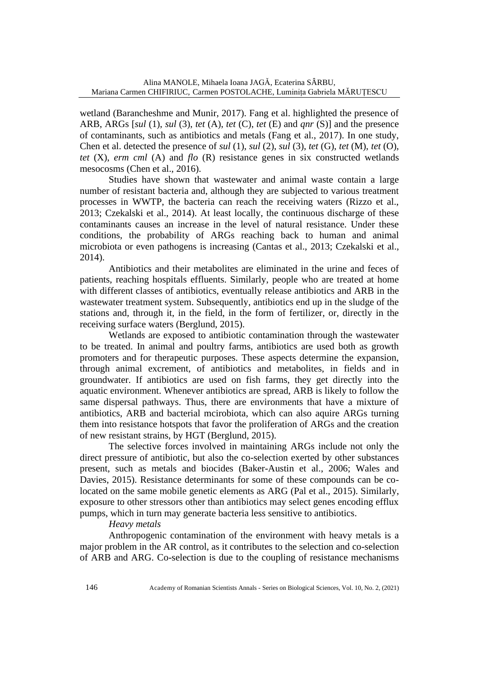wetland (Barancheshme and Munir, 2017). Fang et al. highlighted the presence of ARB, ARGs [*sul* (1), *sul* (3), *tet* (A), *tet* (C), *tet* (E) and *qnr* (S)] and the presence of contaminants, such as antibiotics and metals (Fang et al., 2017). In one study, Chen et al. detected the presence of *sul* (1), *sul* (2), *sul* (3), *tet* (G), *tet* (M), *tet* (O), *tet* (X), *erm cml* (A) and *flo* (R) resistance genes in six constructed wetlands mesocosms (Chen et al., 2016).

Studies have shown that wastewater and animal waste contain a large number of resistant bacteria and, although they are subjected to various treatment processes in WWTP, the bacteria can reach the receiving waters (Rizzo et al., 2013; Czekalski et al., 2014). At least locally, the continuous discharge of these contaminants causes an increase in the level of natural resistance. Under these conditions, the probability of ARGs reaching back to human and animal microbiota or even pathogens is increasing (Cantas et al., 2013; Czekalski et al., 2014).

Antibiotics and their metabolites are eliminated in the urine and feces of patients, reaching hospitals effluents. Similarly, people who are treated at home with different classes of antibiotics, eventually release antibiotics and ARB in the wastewater treatment system. Subsequently, antibiotics end up in the sludge of the stations and, through it, in the field, in the form of fertilizer, or, directly in the receiving surface waters (Berglund, 2015).

Wetlands are exposed to antibiotic contamination through the wastewater to be treated. In animal and poultry farms, antibiotics are used both as growth promoters and for therapeutic purposes. These aspects determine the expansion, through animal excrement, of antibiotics and metabolites, in fields and in groundwater. If antibiotics are used on fish farms, they get directly into the aquatic environment. Whenever antibiotics are spread, ARB is likely to follow the same dispersal pathways. Thus, there are environments that have a mixture of antibiotics, ARB and bacterial mcirobiota, which can also aquire ARGs turning them into resistance hotspots that favor the proliferation of ARGs and the creation of new resistant strains, by HGT (Berglund, 2015).

The selective forces involved in maintaining ARGs include not only the direct pressure of antibiotic, but also the co-selection exerted by other substances present, such as metals and biocides (Baker-Austin et al., 2006; Wales and Davies, 2015). Resistance determinants for some of these compounds can be colocated on the same mobile genetic elements as ARG (Pal et al., 2015). Similarly, exposure to other stressors other than antibiotics may select genes encoding efflux pumps, which in turn may generate bacteria less sensitive to antibiotics.

# *Heavy metals*

Anthropogenic contamination of the environment with heavy metals is a major problem in the AR control, as it contributes to the selection and co-selection of ARB and ARG. Co-selection is due to the coupling of resistance mechanisms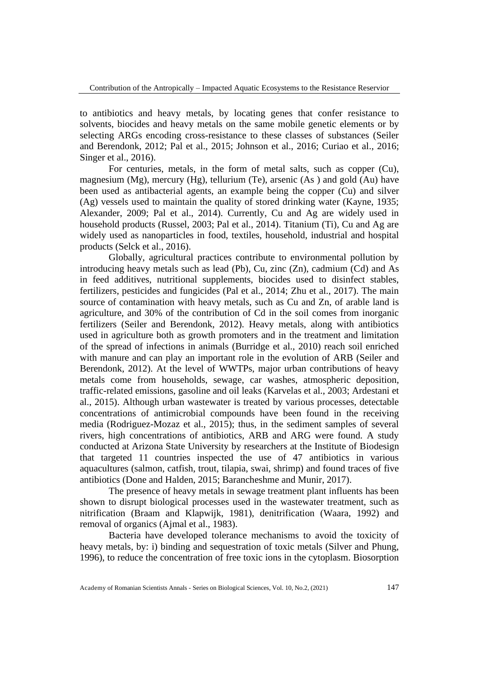to antibiotics and heavy metals, by locating genes that confer resistance to solvents, biocides and heavy metals on the same mobile genetic elements or by selecting ARGs encoding cross-resistance to these classes of substances (Seiler and Berendonk, 2012; Pal et al., 2015; Johnson et al., 2016; Curiao et al., 2016; Singer et al., 2016).

For centuries, metals, in the form of metal salts, such as copper (Cu), magnesium (Mg), mercury (Hg), tellurium (Te), arsenic (As ) and gold (Au) have been used as antibacterial agents, an example being the copper (Cu) and silver (Ag) vessels used to maintain the quality of stored drinking water (Kayne, 1935; Alexander, 2009; Pal et al., 2014). Currently, Cu and Ag are widely used in household products (Russel, 2003; Pal et al., 2014). Titanium (Ti), Cu and Ag are widely used as nanoparticles in food, textiles, household, industrial and hospital products (Selck et al., 2016).

Globally, agricultural practices contribute to environmental pollution by introducing heavy metals such as lead (Pb), Cu, zinc (Zn), cadmium (Cd) and As in feed additives, nutritional supplements, biocides used to disinfect stables, fertilizers, pesticides and fungicides (Pal et al., 2014; Zhu et al., 2017). The main source of contamination with heavy metals, such as Cu and Zn, of arable land is agriculture, and 30% of the contribution of Cd in the soil comes from inorganic fertilizers (Seiler and Berendonk, 2012). Heavy metals, along with antibiotics used in agriculture both as growth promoters and in the treatment and limitation of the spread of infections in animals (Burridge et al., 2010) reach soil enriched with manure and can play an important role in the evolution of ARB (Seiler and Berendonk, 2012). At the level of WWTPs, major urban contributions of heavy metals come from households, sewage, car washes, atmospheric deposition, traffic-related emissions, gasoline and oil leaks (Karvelas et al., 2003; Ardestani et al., 2015). Although urban wastewater is treated by various processes, detectable concentrations of antimicrobial compounds have been found in the receiving media (Rodriguez-Mozaz et al., 2015); thus, in the sediment samples of several rivers, high concentrations of antibiotics, ARB and ARG were found. A study conducted at Arizona State University by researchers at the Institute of Biodesign that targeted 11 countries inspected the use of 47 antibiotics in various aquacultures (salmon, catfish, trout, tilapia, swai, shrimp) and found traces of five antibiotics (Done and Halden, 2015; Barancheshme and Munir, 2017).

The presence of heavy metals in sewage treatment plant influents has been shown to disrupt biological processes used in the wastewater treatment, such as nitrification (Braam and Klapwijk, 1981), denitrification (Waara, 1992) and removal of organics (Ajmal et al., 1983).

Bacteria have developed tolerance mechanisms to avoid the toxicity of heavy metals, by: i) binding and sequestration of toxic metals (Silver and Phung, 1996), to reduce the concentration of free toxic ions in the cytoplasm. Biosorption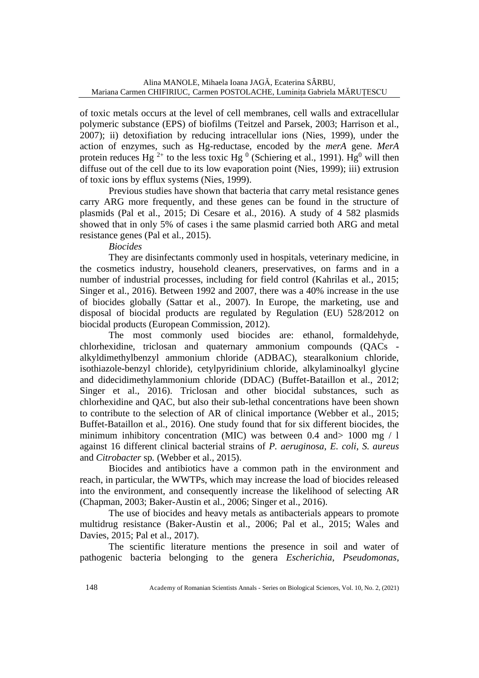of toxic metals occurs at the level of cell membranes, cell walls and extracellular polymeric substance (EPS) of biofilms (Teitzel and Parsek, 2003; Harrison et al., 2007); ii) detoxifiation by reducing intracellular ions (Nies, 1999), under the action of enzymes, such as Hg-reductase, encoded by the *merA* gene. *MerA* protein reduces Hg<sup>2+</sup> to the less toxic Hg<sup>0</sup> (Schiering et al., 1991). Hg<sup>0</sup> will then diffuse out of the cell due to its low evaporation point (Nies, 1999); iii) extrusion of toxic ions by efflux systems (Nies, 1999).

Previous studies have shown that bacteria that carry metal resistance genes carry ARG more frequently, and these genes can be found in the structure of plasmids (Pal et al., 2015; Di Cesare et al., 2016). A study of 4 582 plasmids showed that in only 5% of cases i the same plasmid carried both ARG and metal resistance genes (Pal et al., 2015).

*Biocides* 

They are disinfectants commonly used in hospitals, veterinary medicine, in the cosmetics industry, household cleaners, preservatives, on farms and in a number of industrial processes, including for field control (Kahrilas et al., 2015; Singer et al., 2016). Between 1992 and 2007, there was a 40% increase in the use of biocides globally (Sattar et al., 2007). In Europe, the marketing, use and disposal of biocidal products are regulated by Regulation (EU) 528/2012 on biocidal products (European Commission, 2012).

The most commonly used biocides are: ethanol, formaldehyde, chlorhexidine, triclosan and quaternary ammonium compounds (QACs alkyldimethylbenzyl ammonium chloride (ADBAC), stearalkonium chloride, isothiazole-benzyl chloride), cetylpyridinium chloride, alkylaminoalkyl glycine and didecidimethylammonium chloride (DDAC) (Buffet-Bataillon et al., 2012; Singer et al., 2016). Triclosan and other biocidal substances, such as chlorhexidine and QAC, but also their sub-lethal concentrations have been shown to contribute to the selection of AR of clinical importance (Webber et al., 2015; Buffet-Bataillon et al., 2016). One study found that for six different biocides, the minimum inhibitory concentration (MIC) was between 0.4 and> 1000 mg / l against 16 different clinical bacterial strains of *P. aeruginosa*, *E. coli*, *S. aureus* and *Citrobacter* sp*.* (Webber et al., 2015).

Biocides and antibiotics have a common path in the environment and reach, in particular, the WWTPs, which may increase the load of biocides released into the environment, and consequently increase the likelihood of selecting AR (Chapman, 2003; Baker-Austin et al., 2006; Singer et al., 2016).

The use of biocides and heavy metals as antibacterials appears to promote multidrug resistance (Baker-Austin et al., 2006; Pal et al., 2015; Wales and Davies, 2015; Pal et al., 2017).

The scientific literature mentions the presence in soil and water of pathogenic bacteria belonging to the genera *Escherichia*, *Pseudomonas*,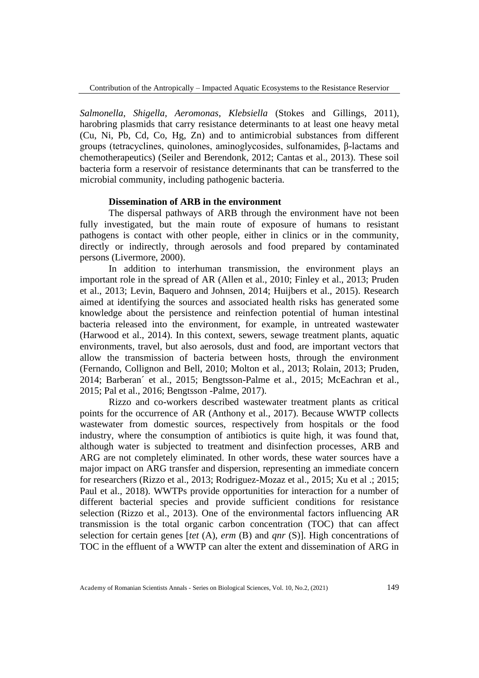*Salmonella*, *Shigella*, *Aeromonas*, *Klebsiella* (Stokes and Gillings, 2011), harobring plasmids that carry resistance determinants to at least one heavy metal (Cu, Ni, Pb, Cd, Co, Hg, Zn) and to antimicrobial substances from different groups (tetracyclines, quinolones, aminoglycosides, sulfonamides, β-lactams and chemotherapeutics) (Seiler and Berendonk, 2012; Cantas et al., 2013). These soil bacteria form a reservoir of resistance determinants that can be transferred to the microbial community, including pathogenic bacteria.

### **Dissemination of ARB in the environment**

The dispersal pathways of ARB through the environment have not been fully investigated, but the main route of exposure of humans to resistant pathogens is contact with other people, either in clinics or in the community, directly or indirectly, through aerosols and food prepared by contaminated persons (Livermore, 2000).

In addition to interhuman transmission, the environment plays an important role in the spread of AR (Allen et al., 2010; Finley et al., 2013; Pruden et al., 2013; Levin, Baquero and Johnsen, 2014; Huijbers et al., 2015). Research aimed at identifying the sources and associated health risks has generated some knowledge about the persistence and reinfection potential of human intestinal bacteria released into the environment, for example, in untreated wastewater (Harwood et al., 2014). In this context, sewers, sewage treatment plants, aquatic environments, travel, but also aerosols, dust and food, are important vectors that allow the transmission of bacteria between hosts, through the environment (Fernando, Collignon and Bell, 2010; Molton et al., 2013; Rolain, 2013; Pruden, 2014; Barberan´ et al., 2015; Bengtsson-Palme et al., 2015; McEachran et al., 2015; Pal et al., 2016; Bengtsson -Palme, 2017).

Rizzo and co-workers described wastewater treatment plants as critical points for the occurrence of AR (Anthony et al., 2017). Because WWTP collects wastewater from domestic sources, respectively from hospitals or the food industry, where the consumption of antibiotics is quite high, it was found that, although water is subjected to treatment and disinfection processes, ARB and ARG are not completely eliminated. In other words, these water sources have a major impact on ARG transfer and dispersion, representing an immediate concern for researchers (Rizzo et al., 2013; Rodriguez-Mozaz et al., 2015; Xu et al .; 2015; Paul et al., 2018). WWTPs provide opportunities for interaction for a number of different bacterial species and provide sufficient conditions for resistance selection (Rizzo et al., 2013). One of the environmental factors influencing AR transmission is the total organic carbon concentration (TOC) that can affect selection for certain genes [*tet* (A), *erm* (B) and *qnr* (S)]. High concentrations of TOC in the effluent of a WWTP can alter the extent and dissemination of ARG in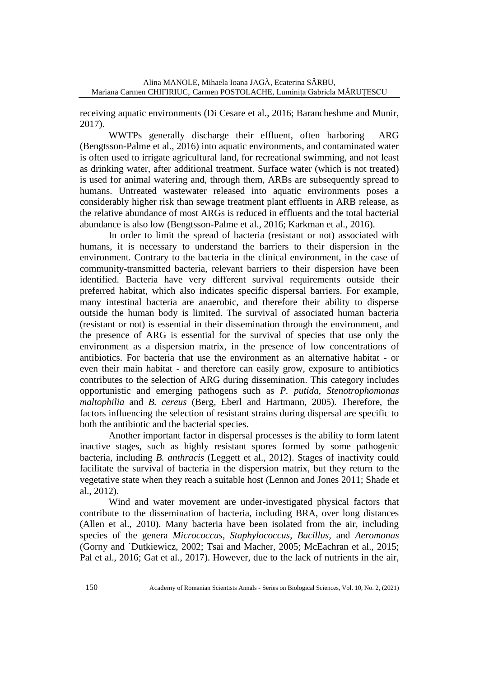receiving aquatic environments (Di Cesare et al., 2016; Barancheshme and Munir, 2017).

WWTPs generally discharge their effluent, often harboring ARG (Bengtsson-Palme et al., 2016) into aquatic environments, and contaminated water is often used to irrigate agricultural land, for recreational swimming, and not least as drinking water, after additional treatment. Surface water (which is not treated) is used for animal watering and, through them, ARBs are subsequently spread to humans. Untreated wastewater released into aquatic environments poses a considerably higher risk than sewage treatment plant effluents in ARB release, as the relative abundance of most ARGs is reduced in effluents and the total bacterial abundance is also low (Bengtsson-Palme et al., 2016; Karkman et al., 2016).

In order to limit the spread of bacteria (resistant or not) associated with humans, it is necessary to understand the barriers to their dispersion in the environment. Contrary to the bacteria in the clinical environment, in the case of community-transmitted bacteria, relevant barriers to their dispersion have been identified. Bacteria have very different survival requirements outside their preferred habitat, which also indicates specific dispersal barriers. For example, many intestinal bacteria are anaerobic, and therefore their ability to disperse outside the human body is limited. The survival of associated human bacteria (resistant or not) is essential in their dissemination through the environment, and the presence of ARG is essential for the survival of species that use only the environment as a dispersion matrix, in the presence of low concentrations of antibiotics. For bacteria that use the environment as an alternative habitat - or even their main habitat - and therefore can easily grow, exposure to antibiotics contributes to the selection of ARG during dissemination. This category includes opportunistic and emerging pathogens such as *P. putida*, *Stenotrophomonas maltophilia* and *B. cereus* (Berg, Eberl and Hartmann, 2005). Therefore, the factors influencing the selection of resistant strains during dispersal are specific to both the antibiotic and the bacterial species.

Another important factor in dispersal processes is the ability to form latent inactive stages, such as highly resistant spores formed by some pathogenic bacteria, including *B. anthracis* (Leggett et al., 2012). Stages of inactivity could facilitate the survival of bacteria in the dispersion matrix, but they return to the vegetative state when they reach a suitable host (Lennon and Jones 2011; Shade et al., 2012).

Wind and water movement are under-investigated physical factors that contribute to the dissemination of bacteria, including BRA, over long distances (Allen et al., 2010). Many bacteria have been isolated from the air, including species of the genera *Micrococcus*, *Staphylococcus*, *Bacillus*, and *Aeromonas* (Gorny and ´Dutkiewicz, 2002; Tsai and Macher, 2005; McEachran et al., 2015; Pal et al., 2016; Gat et al., 2017). However, due to the lack of nutrients in the air,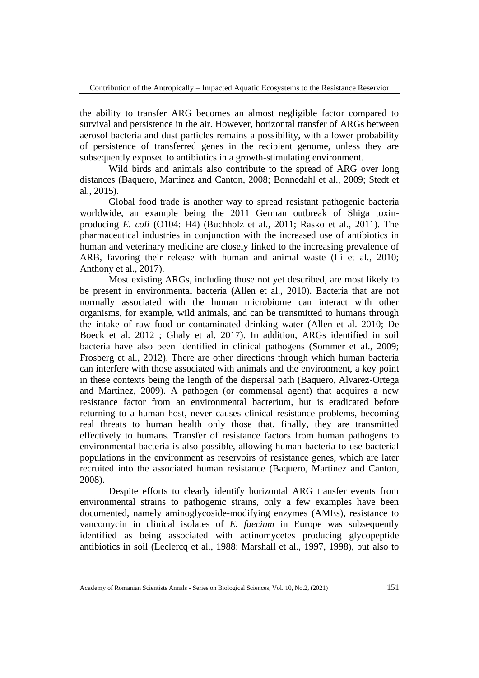the ability to transfer ARG becomes an almost negligible factor compared to survival and persistence in the air. However, horizontal transfer of ARGs between aerosol bacteria and dust particles remains a possibility, with a lower probability of persistence of transferred genes in the recipient genome, unless they are subsequently exposed to antibiotics in a growth-stimulating environment.

Wild birds and animals also contribute to the spread of ARG over long distances (Baquero, Martinez and Canton, 2008; Bonnedahl et al., 2009; Stedt et al., 2015).

Global food trade is another way to spread resistant pathogenic bacteria worldwide, an example being the 2011 German outbreak of Shiga toxinproducing *E. coli* (O104: H4) (Buchholz et al., 2011; Rasko et al., 2011). The pharmaceutical industries in conjunction with the increased use of antibiotics in human and veterinary medicine are closely linked to the increasing prevalence of ARB, favoring their release with human and animal waste (Li et al., 2010; Anthony et al., 2017).

Most existing ARGs, including those not yet described, are most likely to be present in environmental bacteria (Allen et al., 2010). Bacteria that are not normally associated with the human microbiome can interact with other organisms, for example, wild animals, and can be transmitted to humans through the intake of raw food or contaminated drinking water (Allen et al. 2010; De Boeck et al. 2012 ; Ghaly et al. 2017). In addition, ARGs identified in soil bacteria have also been identified in clinical pathogens (Sommer et al., 2009; Frosberg et al., 2012). There are other directions through which human bacteria can interfere with those associated with animals and the environment, a key point in these contexts being the length of the dispersal path (Baquero, Alvarez-Ortega and Martinez, 2009). A pathogen (or commensal agent) that acquires a new resistance factor from an environmental bacterium, but is eradicated before returning to a human host, never causes clinical resistance problems, becoming real threats to human health only those that, finally, they are transmitted effectively to humans. Transfer of resistance factors from human pathogens to environmental bacteria is also possible, allowing human bacteria to use bacterial populations in the environment as reservoirs of resistance genes, which are later recruited into the associated human resistance (Baquero, Martinez and Canton, 2008).

Despite efforts to clearly identify horizontal ARG transfer events from environmental strains to pathogenic strains, only a few examples have been documented, namely aminoglycoside-modifying enzymes (AMEs), resistance to vancomycin in clinical isolates of *E. faecium* in Europe was subsequently identified as being associated with actinomycetes producing glycopeptide antibiotics in soil (Leclercq et al., 1988; Marshall et al., 1997, 1998), but also to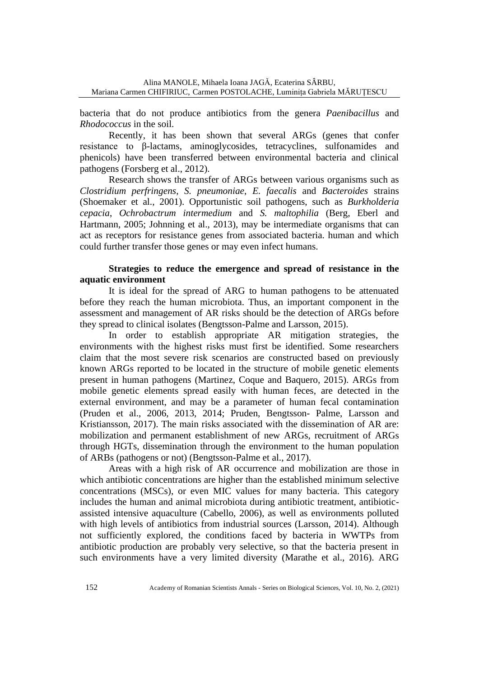bacteria that do not produce antibiotics from the genera *Paenibacillus* and *Rhodococcus* in the soil.

Recently, it has been shown that several ARGs (genes that confer resistance to β-lactams, aminoglycosides, tetracyclines, sulfonamides and phenicols) have been transferred between environmental bacteria and clinical pathogens (Forsberg et al., 2012).

Research shows the transfer of ARGs between various organisms such as *Clostridium perfringens*, *S. pneumoniae*, *E. faecalis* and *Bacteroides* strains (Shoemaker et al., 2001). Opportunistic soil pathogens, such as *Burkholderia cepacia*, *Ochrobactrum intermedium* and *S. maltophilia* (Berg, Eberl and Hartmann, 2005; Johnning et al., 2013), may be intermediate organisms that can act as receptors for resistance genes from associated bacteria. human and which could further transfer those genes or may even infect humans.

## **Strategies to reduce the emergence and spread of resistance in the aquatic environment**

It is ideal for the spread of ARG to human pathogens to be attenuated before they reach the human microbiota. Thus, an important component in the assessment and management of AR risks should be the detection of ARGs before they spread to clinical isolates (Bengtsson-Palme and Larsson, 2015).

In order to establish appropriate AR mitigation strategies, the environments with the highest risks must first be identified. Some researchers claim that the most severe risk scenarios are constructed based on previously known ARGs reported to be located in the structure of mobile genetic elements present in human pathogens (Martinez, Coque and Baquero, 2015). ARGs from mobile genetic elements spread easily with human feces, are detected in the external environment, and may be a parameter of human fecal contamination (Pruden et al., 2006, 2013, 2014; Pruden, Bengtsson- Palme, Larsson and Kristiansson, 2017). The main risks associated with the dissemination of AR are: mobilization and permanent establishment of new ARGs, recruitment of ARGs through HGTs, dissemination through the environment to the human population of ARBs (pathogens or not) (Bengtsson-Palme et al., 2017).

Areas with a high risk of AR occurrence and mobilization are those in which antibiotic concentrations are higher than the established minimum selective concentrations (MSCs), or even MIC values for many bacteria. This category includes the human and animal microbiota during antibiotic treatment, antibioticassisted intensive aquaculture (Cabello, 2006), as well as environments polluted with high levels of antibiotics from industrial sources (Larsson, 2014). Although not sufficiently explored, the conditions faced by bacteria in WWTPs from antibiotic production are probably very selective, so that the bacteria present in such environments have a very limited diversity (Marathe et al., 2016). ARG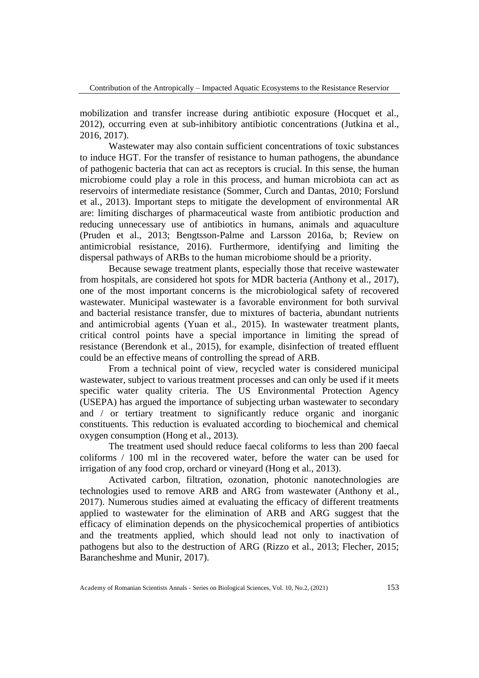mobilization and transfer increase during antibiotic exposure (Hocquet et al., 2012), occurring even at sub-inhibitory antibiotic concentrations (Jutkina et al., 2016, 2017).

Wastewater may also contain sufficient concentrations of toxic substances to induce HGT. For the transfer of resistance to human pathogens, the abundance of pathogenic bacteria that can act as receptors is crucial. In this sense, the human microbiome could play a role in this process, and human microbiota can act as reservoirs of intermediate resistance (Sommer, Curch and Dantas, 2010; Forslund et al., 2013). Important steps to mitigate the development of environmental AR are: limiting discharges of pharmaceutical waste from antibiotic production and reducing unnecessary use of antibiotics in humans, animals and aquaculture (Pruden et al., 2013; Bengtsson-Palme and Larsson 2016a, b; Review on antimicrobial resistance, 2016). Furthermore, identifying and limiting the dispersal pathways of ARBs to the human microbiome should be a priority.

Because sewage treatment plants, especially those that receive wastewater from hospitals, are considered hot spots for MDR bacteria (Anthony et al., 2017), one of the most important concerns is the microbiological safety of recovered wastewater. Municipal wastewater is a favorable environment for both survival and bacterial resistance transfer, due to mixtures of bacteria, abundant nutrients and antimicrobial agents (Yuan et al., 2015). In wastewater treatment plants, critical control points have a special importance in limiting the spread of resistance (Berendonk et al., 2015), for example, disinfection of treated effluent could be an effective means of controlling the spread of ARB.

From a technical point of view, recycled water is considered municipal wastewater, subject to various treatment processes and can only be used if it meets specific water quality criteria. The US Environmental Protection Agency (USEPA) has argued the importance of subjecting urban wastewater to secondary and / or tertiary treatment to significantly reduce organic and inorganic constituents. This reduction is evaluated according to biochemical and chemical oxygen consumption (Hong et al., 2013).

The treatment used should reduce faecal coliforms to less than 200 faecal coliforms / 100 ml in the recovered water, before the water can be used for irrigation of any food crop, orchard or vineyard (Hong et al., 2013).

Activated carbon, filtration, ozonation, photonic nanotechnologies are technologies used to remove ARB and ARG from wastewater (Anthony et al., 2017). Numerous studies aimed at evaluating the efficacy of different treatments applied to wastewater for the elimination of ARB and ARG suggest that the efficacy of elimination depends on the physicochemical properties of antibiotics and the treatments applied, which should lead not only to inactivation of pathogens but also to the destruction of ARG (Rizzo et al., 2013; Flecher, 2015; Barancheshme and Munir, 2017).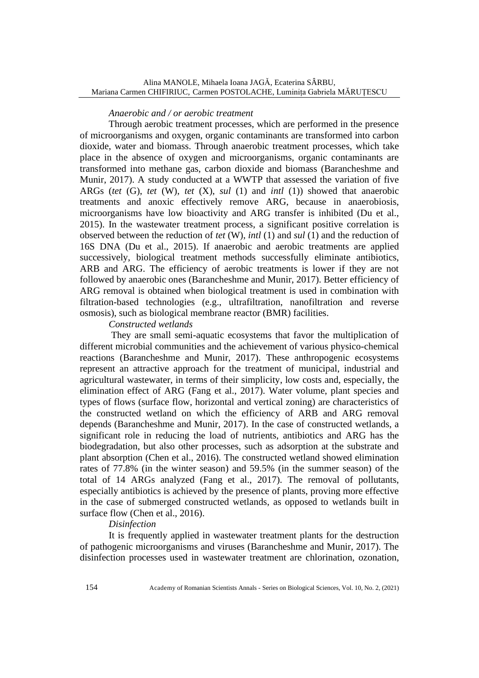### *Anaerobic and / or aerobic treatment*

Through aerobic treatment processes, which are performed in the presence of microorganisms and oxygen, organic contaminants are transformed into carbon dioxide, water and biomass. Through anaerobic treatment processes, which take place in the absence of oxygen and microorganisms, organic contaminants are transformed into methane gas, carbon dioxide and biomass (Barancheshme and Munir, 2017). A study conducted at a WWTP that assessed the variation of five ARGs (*tet* (G), *tet* (W), *tet* (X), *sul* (1) and *intl* (1)) showed that anaerobic treatments and anoxic effectively remove ARG, because in anaerobiosis, microorganisms have low bioactivity and ARG transfer is inhibited (Du et al., 2015). In the wastewater treatment process, a significant positive correlation is observed between the reduction of *tet* (W), *intl* (1) and *sul* (1) and the reduction of 16S DNA (Du et al., 2015). If anaerobic and aerobic treatments are applied successively, biological treatment methods successfully eliminate antibiotics, ARB and ARG. The efficiency of aerobic treatments is lower if they are not followed by anaerobic ones (Barancheshme and Munir, 2017). Better efficiency of ARG removal is obtained when biological treatment is used in combination with filtration-based technologies (e.g., ultrafiltration, nanofiltration and reverse osmosis), such as biological membrane reactor (BMR) facilities.

### *Constructed wetlands*

They are small semi-aquatic ecosystems that favor the multiplication of different microbial communities and the achievement of various physico-chemical reactions (Barancheshme and Munir, 2017). These anthropogenic ecosystems represent an attractive approach for the treatment of municipal, industrial and agricultural wastewater, in terms of their simplicity, low costs and, especially, the elimination effect of ARG (Fang et al., 2017). Water volume, plant species and types of flows (surface flow, horizontal and vertical zoning) are characteristics of the constructed wetland on which the efficiency of ARB and ARG removal depends (Barancheshme and Munir, 2017). In the case of constructed wetlands, a significant role in reducing the load of nutrients, antibiotics and ARG has the biodegradation, but also other processes, such as adsorption at the substrate and plant absorption (Chen et al., 2016). The constructed wetland showed elimination rates of 77.8% (in the winter season) and 59.5% (in the summer season) of the total of 14 ARGs analyzed (Fang et al., 2017). The removal of pollutants, especially antibiotics is achieved by the presence of plants, proving more effective in the case of submerged constructed wetlands, as opposed to wetlands built in surface flow (Chen et al., 2016).

### *Disinfection*

It is frequently applied in wastewater treatment plants for the destruction of pathogenic microorganisms and viruses (Barancheshme and Munir, 2017). The disinfection processes used in wastewater treatment are chlorination, ozonation,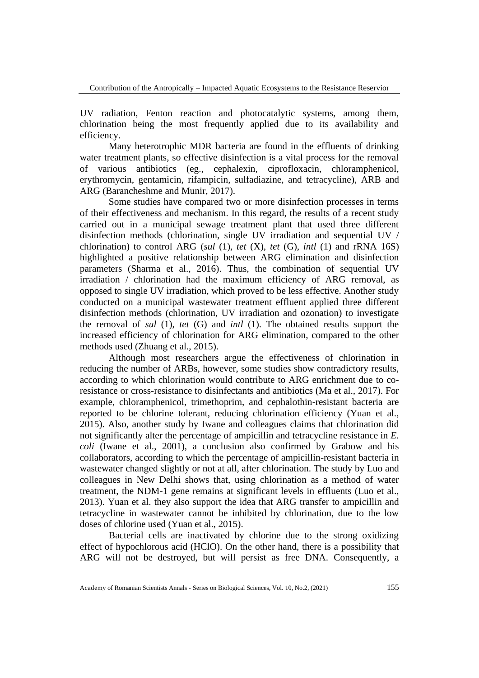UV radiation, Fenton reaction and photocatalytic systems, among them, chlorination being the most frequently applied due to its availability and efficiency.

Many heterotrophic MDR bacteria are found in the effluents of drinking water treatment plants, so effective disinfection is a vital process for the removal of various antibiotics (eg., cephalexin, ciprofloxacin, chloramphenicol, erythromycin, gentamicin, rifampicin, sulfadiazine, and tetracycline), ARB and ARG (Barancheshme and Munir, 2017).

Some studies have compared two or more disinfection processes in terms of their effectiveness and mechanism. In this regard, the results of a recent study carried out in a municipal sewage treatment plant that used three different disinfection methods (chlorination, single UV irradiation and sequential UV / chlorination) to control ARG (*sul* (1), *tet* (X), *tet* (G), *intl* (1) and rRNA 16S) highlighted a positive relationship between ARG elimination and disinfection parameters (Sharma et al., 2016). Thus, the combination of sequential UV irradiation / chlorination had the maximum efficiency of ARG removal, as opposed to single UV irradiation, which proved to be less effective. Another study conducted on a municipal wastewater treatment effluent applied three different disinfection methods (chlorination, UV irradiation and ozonation) to investigate the removal of *sul* (1), *tet* (G) and *intl* (1). The obtained results support the increased efficiency of chlorination for ARG elimination, compared to the other methods used (Zhuang et al., 2015).

Although most researchers argue the effectiveness of chlorination in reducing the number of ARBs, however, some studies show contradictory results, according to which chlorination would contribute to ARG enrichment due to coresistance or cross-resistance to disinfectants and antibiotics (Ma et al., 2017). For example, chloramphenicol, trimethoprim, and cephalothin-resistant bacteria are reported to be chlorine tolerant, reducing chlorination efficiency (Yuan et al., 2015). Also, another study by Iwane and colleagues claims that chlorination did not significantly alter the percentage of ampicillin and tetracycline resistance in *E. coli* (Iwane et al., 2001), a conclusion also confirmed by Grabow and his collaborators, according to which the percentage of ampicillin-resistant bacteria in wastewater changed slightly or not at all, after chlorination. The study by Luo and colleagues in New Delhi shows that, using chlorination as a method of water treatment, the NDM-1 gene remains at significant levels in effluents (Luo et al., 2013). Yuan et al. they also support the idea that ARG transfer to ampicillin and tetracycline in wastewater cannot be inhibited by chlorination, due to the low doses of chlorine used (Yuan et al., 2015).

Bacterial cells are inactivated by chlorine due to the strong oxidizing effect of hypochlorous acid (HClO). On the other hand, there is a possibility that ARG will not be destroyed, but will persist as free DNA. Consequently, a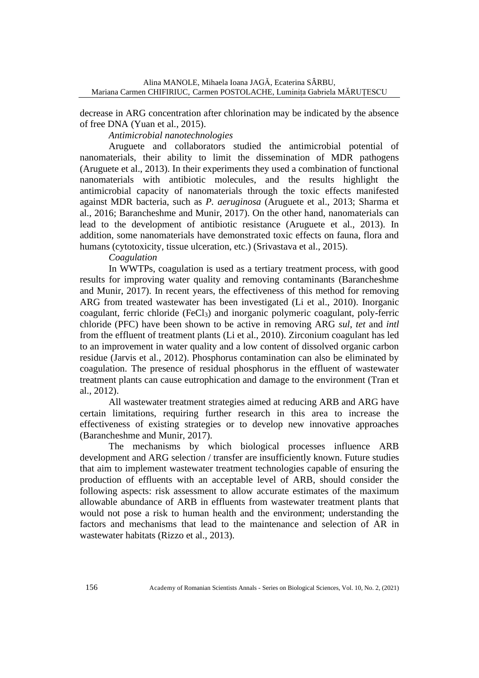Alina MANOLE, Mihaela Ioana JAGǍ, Ecaterina SÂRBU, Mariana Carmen CHIFIRIUC, Carmen POSTOLACHE, Luminița Gabriela MĂRUȚESCU

decrease in ARG concentration after chlorination may be indicated by the absence of free DNA (Yuan et al., 2015).

*Antimicrobial nanotechnologies*

Aruguete and collaborators studied the antimicrobial potential of nanomaterials, their ability to limit the dissemination of MDR pathogens (Aruguete et al., 2013). In their experiments they used a combination of functional nanomaterials with antibiotic molecules, and the results highlight the antimicrobial capacity of nanomaterials through the toxic effects manifested against MDR bacteria, such as *P. aeruginosa* (Aruguete et al., 2013; Sharma et al., 2016; Barancheshme and Munir, 2017). On the other hand, nanomaterials can lead to the development of antibiotic resistance (Aruguete et al., 2013). In addition, some nanomaterials have demonstrated toxic effects on fauna, flora and humans (cytotoxicity, tissue ulceration, etc.) (Srivastava et al., 2015).

*Coagulation*

In WWTPs, coagulation is used as a tertiary treatment process, with good results for improving water quality and removing contaminants (Barancheshme and Munir, 2017). In recent years, the effectiveness of this method for removing ARG from treated wastewater has been investigated (Li et al., 2010). Inorganic coagulant, ferric chloride (FeCl3) and inorganic polymeric coagulant, poly-ferric chloride (PFC) have been shown to be active in removing ARG *sul*, *tet* and *intl* from the effluent of treatment plants (Li et al., 2010). Zirconium coagulant has led to an improvement in water quality and a low content of dissolved organic carbon residue (Jarvis et al., 2012). Phosphorus contamination can also be eliminated by coagulation. The presence of residual phosphorus in the effluent of wastewater treatment plants can cause eutrophication and damage to the environment (Tran et al., 2012).

All wastewater treatment strategies aimed at reducing ARB and ARG have certain limitations, requiring further research in this area to increase the effectiveness of existing strategies or to develop new innovative approaches (Barancheshme and Munir, 2017).

The mechanisms by which biological processes influence ARB development and ARG selection / transfer are insufficiently known. Future studies that aim to implement wastewater treatment technologies capable of ensuring the production of effluents with an acceptable level of ARB, should consider the following aspects: risk assessment to allow accurate estimates of the maximum allowable abundance of ARB in effluents from wastewater treatment plants that would not pose a risk to human health and the environment; understanding the factors and mechanisms that lead to the maintenance and selection of AR in wastewater habitats (Rizzo et al., 2013).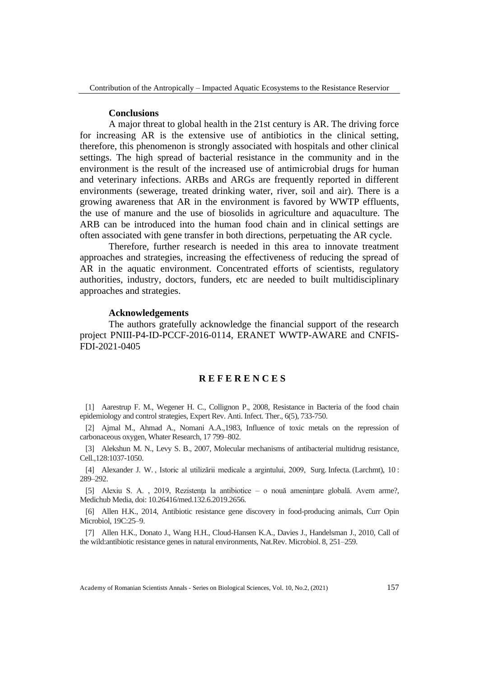#### **Conclusions**

A major threat to global health in the 21st century is AR. The driving force for increasing AR is the extensive use of antibiotics in the clinical setting, therefore, this phenomenon is strongly associated with hospitals and other clinical settings. The high spread of bacterial resistance in the community and in the environment is the result of the increased use of antimicrobial drugs for human and veterinary infections. ARBs and ARGs are frequently reported in different environments (sewerage, treated drinking water, river, soil and air). There is a growing awareness that AR in the environment is favored by WWTP effluents, the use of manure and the use of biosolids in agriculture and aquaculture. The ARB can be introduced into the human food chain and in clinical settings are often associated with gene transfer in both directions, perpetuating the AR cycle.

Therefore, further research is needed in this area to innovate treatment approaches and strategies, increasing the effectiveness of reducing the spread of AR in the aquatic environment. Concentrated efforts of scientists, regulatory authorities, industry, doctors, funders, etc are needed to built multidisciplinary approaches and strategies.

#### **Acknowledgements**

The authors gratefully acknowledge the financial support of the research project PNIII-P4-ID-PCCF-2016-0114, ERANET WWTP-AWARE and CNFIS-FDI-2021-0405

#### **R E F E R E N C E S**

[1] Aarestrup F. M., Wegener H. C., Collignon P., 2008, Resistance in Bacteria of the food chain epidemiology and control strategies, Expert Rev. Anti. Infect. Ther., 6(5), 733-750.

[2] Ajmal M., Ahmad A., Nomani A.A.,1983, Influence of toxic metals on the repression of carbonaceous oxygen, Whater Research, 17 799–802.

[3] Alekshun M. N., Levy S. B., 2007, Molecular mechanisms of antibacterial multidrug resistance, Cell.,128:1037-1050.

[4] Alexander J. W. , Istoric al utilizării medicale a argintului, 2009, Surg. Infecta. (Larchmt), 10 : 289–292.

[5] Alexiu S. A. , 2019, Rezistenţa la antibiotice – o nouă ameninţare globală. Avem arme?, Medichub Media, doi: 10.26416/med.132.6.2019.2656.

[6] Allen H.K., 2014, Antibiotic resistance gene discovery in food-producing animals, Curr Opin Microbiol, 19C:25–9.

[7] Allen H.K., Donato J., Wang H.H., Cloud-Hansen K.A., Davies J., Handelsman J., 2010, Call of the wild:antibiotic resistance genes in natural environments, Nat.Rev. Microbiol. 8, 251–259.

Academy of Romanian Scientists Annals - Series on Biological Sciences, Vol. 10, No.2, (2021) 157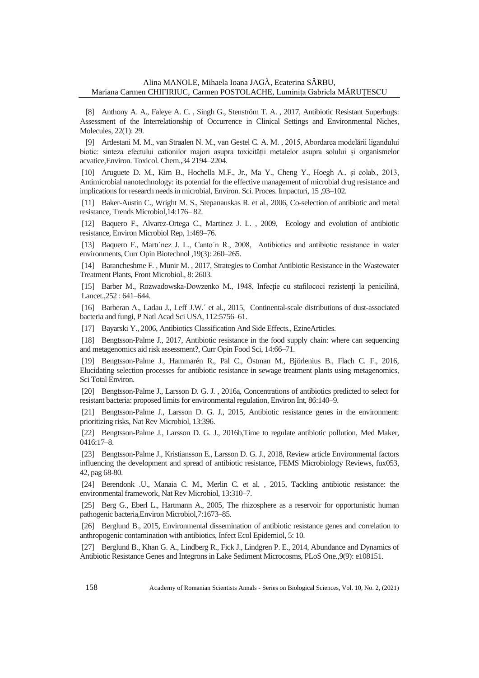[8] Anthony A. A., Faleye A. C. , Singh G., Stenström T. A. , 2017, Antibiotic Resistant Superbugs: Assessment of the Interrelationship of Occurrence in Clinical Settings and Environmental Niches, Molecules, 22(1): 29.

[9] Ardestani M. M., van Straalen N. M., van Gestel C. A. M. , 2015, Abordarea modelării ligandului biotic: sinteza efectului cationilor majori asupra toxicității metalelor asupra solului și organismelor acvatice,Environ. Toxicol. Chem.,34 2194–2204.

[10] Aruguete D. M., Kim B., Hochella M.F., Jr., Ma Y., Cheng Y., Hoegh A., și colab., 2013, Antimicrobial nanotechnology: its potential for the effective management of microbial drug resistance and implications for research needs in microbial, Environ. Sci. Proces. Impacturi, 15 ,93–102.

[11] Baker-Austin C., Wright M. S., Stepanauskas R. et al., 2006, Co-selection of antibiotic and metal resistance, Trends Microbiol,14:176– 82.

[12] Baquero F., Alvarez-Ortega C., Martinez J. L. , 2009, Ecology and evolution of antibiotic resistance, Environ Microbiol Rep, 1:469–76.

[13] Baquero F., Martı´nez J. L., Canto´n R., 2008, Antibiotics and antibiotic resistance in water environments, Curr Opin Biotechnol ,19(3): 260–265.

[14] Barancheshme F. , Munir M. , 2017, Strategies to Combat Antibiotic Resistance in the Wastewater Treatment Plants, Front Microbiol., 8: 2603.

[15] Barber M., Rozwadowska-Dowzenko M., 1948, Infecție cu stafilococi rezistenți la penicilină, Lancet.,252 : 641–644.

[16] Barberan A., Ladau J., Leff J.W.´ et al., 2015, Continental-scale distributions of dust-associated bacteria and fungi, P Natl Acad Sci USA, 112:5756–61.

[17] Bayarski Y., 2006, Antibiotics Classification And Side Effects., EzineArticles.

[18] Bengtsson-Palme J., 2017, Antibiotic resistance in the food supply chain: where can sequencing and metagenomics aid risk assessment?, Curr Opin Food Sci, 14:66–71.

[19] Bengtsson-Palme J., Hammarén R., Pal C., Östman M., Björlenius B., Flach C. F., 2016, Elucidating selection processes for antibiotic resistance in sewage treatment plants using metagenomics, Sci Total Environ.

[20] Bengtsson-Palme J., Larsson D. G. J. , 2016a, Concentrations of antibiotics predicted to select for resistant bacteria: proposed limits for environmental regulation, Environ Int, 86:140–9.

[21] Bengtsson-Palme J., Larsson D. G. J., 2015, Antibiotic resistance genes in the environment: prioritizing risks, Nat Rev Microbiol, 13:396.

[22] Bengtsson-Palme J., Larsson D. G. J., 2016b,Time to regulate antibiotic pollution, Med Maker, 0416:17–8.

[23] Bengtsson-Palme J., Kristiansson E., Larsson D. G. J., 2018, Review article Environmental factors influencing the development and spread of antibiotic resistance, FEMS Microbiology Reviews, fux053, 42, pag 68-80.

[24] Berendonk .U., Manaia C. M., Merlin C. et al. , 2015, Tackling antibiotic resistance: the environmental framework, Nat Rev Microbiol, 13:310–7.

[25] Berg G., Eberl L., Hartmann A., 2005, The rhizosphere as a reservoir for opportunistic human pathogenic bacteria,Environ Microbiol,7:1673–85.

[26] Berglund B., 2015, Environmental dissemination of antibiotic resistance genes and correlation to anthropogenic contamination with antibiotics, Infect Ecol Epidemiol, 5: 10.

[27] Berglund B., Khan G. A., Lindberg R., Fick J., Lindgren P. E., 2014, Abundance and Dynamics of Antibiotic Resistance Genes and Integrons in Lake Sediment Microcosms, PLoS One.,9(9): e108151.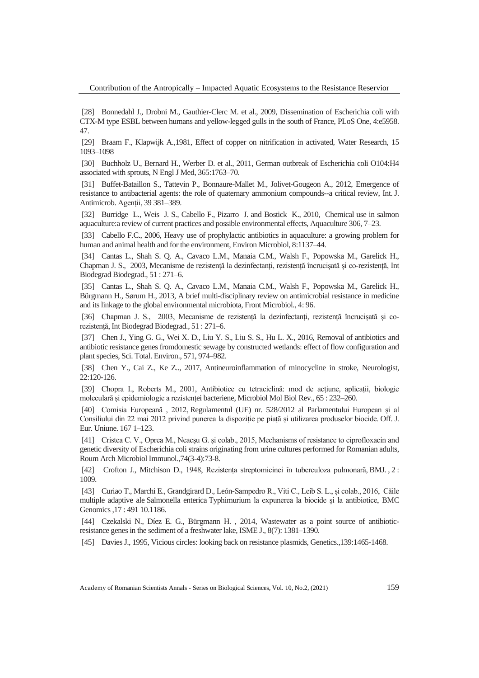[28] Bonnedahl J., Drobni M., Gauthier-Clerc M. et al., 2009, Dissemination of Escherichia coli with CTX-M type ESBL between humans and yellow-legged gulls in the south of France, PLoS One, 4:e5958. 47.

[29] Braam F., Klapwijk A.,1981, Effect of copper on nitrification in activated, Water Research, 15 1093–1098

[30] Buchholz U., Bernard H., Werber D. et al., 2011, German outbreak of Escherichia coli O104:H4 associated with sprouts, N Engl J Med, 365:1763–70.

[31] Buffet-Bataillon S., Tattevin P., Bonnaure-Mallet M., Jolivet-Gougeon A., 2012, Emergence of resistance to antibacterial agents: the role of quaternary ammonium compounds--a critical review, Int. J. Antimicrob. Agenții, 39 381–389.

[32] Burridge L., Weis J. S., Cabello F., Pizarro J. and Bostick K., 2010, Chemical use in salmon aquaculture:a review of current practices and possible environmental effects, Aquaculture 306, 7–23.

[33] Cabello F.C., 2006, Heavy use of prophylactic antibiotics in aquaculture: a growing problem for human and animal health and for the environment, Environ Microbiol, 8:1137–44.

[34] Cantas L., Shah S. Q. A., Cavaco L.M., Manaia C.M., Walsh F., Popowska M., Garelick H., Chapman J. S., 2003, Mecanisme de rezistență la dezinfectanți, rezistență încrucișată și co-rezistență, Int Biodegrad Biodegrad., 51 : 271–6.

[35] Cantas L., Shah S. Q. A., Cavaco L.M., Manaia C.M., Walsh F., Popowska M., Garelick H., Bürgmann H., Sørum H., 2013, A brief multi-disciplinary review on antimicrobial resistance in medicine and its linkage to the global environmental microbiota, Front Microbiol., 4: 96.

[36] Chapman J. S., 2003, Mecanisme de rezistență la dezinfectanți, rezistență încrucișată și corezistență, Int Biodegrad Biodegrad., 51 : 271–6.

[37] Chen J., Ying G. G., Wei X. D., Liu Y. S., Liu S. S., Hu L. X., 2016, Removal of antibiotics and antibiotic resistance genes fromdomestic sewage by constructed wetlands: effect of flow configuration and plant species, Sci. Total. Environ., 571, 974–982.

[38] Chen Y., Cai Z., Ke Z.., 2017, Antineuroinflammation of minocycline in stroke, Neurologist, 22:120-126.

[39] Chopra I., Roberts M., 2001, Antibiotice cu tetraciclină: mod de acțiune, aplicații, biologie moleculară și epidemiologie a rezistenței bacteriene, Microbiol Mol Biol Rev., 65 : 232–260.

[40] Comisia Europeană , 2012, Regulamentul (UE) nr. 528/2012 al Parlamentului European și al Consiliului din 22 mai 2012 privind punerea la dispoziție pe piață și utilizarea produselor biocide. Off. J. Eur. Uniune. 167 1–123.

[41] Cristea C. V., Oprea M., Neacşu G. și colab., 2015, Mechanisms of resistance to ciprofloxacin and genetic diversity of Escherichia coli strains originating from urine cultures performed for Romanian adults, Roum Arch Microbiol Immunol.,74(3-4):73-8.

[42] Crofton J., Mitchison D., 1948, Rezistența streptomicinei în tuberculoza pulmonară, BMJ. , 2 : 1009.

[43] Curiao T., Marchi E., Grandgirard D., León-Sampedro R., Viti C., Leib S. L., și colab., 2016, Căile multiple adaptive ale Salmonella enterica Typhimurium la expunerea la biocide și la antibiotice, BMC Genomics,17 : 491 10.1186.

[44] Czekalski N., Díez E. G., Bürgmann H. , 2014, Wastewater as a point source of antibioticresistance genes in the sediment of a freshwater lake, ISME J., 8(7): 1381–1390.

[45] Davies J., 1995, Vicious circles: looking back on resistance plasmids, Genetics.,139:1465-1468.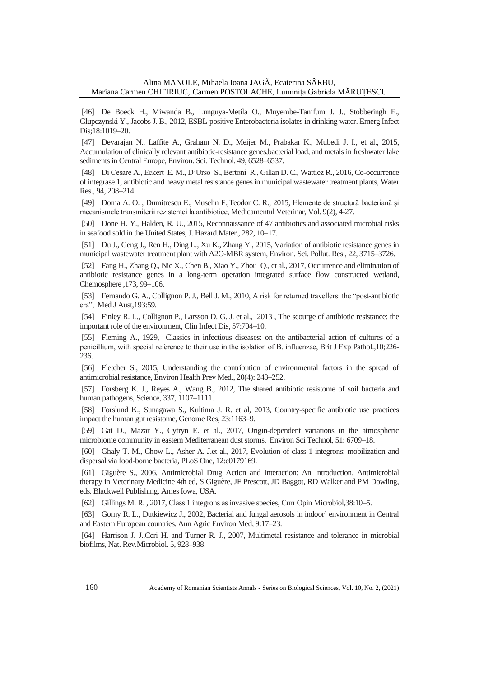[46] De Boeck H., Miwanda B., Lunguya-Metila O., Muyembe-Tamfum J. J., Stobberingh E., Glupczynski Y., Jacobs J. B., 2012, ESBL-positive Enterobacteria isolates in drinking water. Emerg Infect Dis;18:1019–20.

[47] Devarajan N., Laffite A., Graham N. D., Meijer M., Prabakar K., Mubedi J. I., et al., 2015, Accumulation of clinically relevant antibiotic-resistance genes,bacterial load, and metals in freshwater lake sediments in Central Europe, Environ. Sci. Technol. 49, 6528–6537.

[48] Di Cesare A., Eckert E. M., D'Urso S., Bertoni R., Gillan D. C., Wattiez R., 2016, Co-occurrence of integrase 1, antibiotic and heavy metal resistance genes in municipal wastewater treatment plants, Water Res., 94, 208–214.

[49] Doma A. O. , Dumitrescu E., Muselin F.,Teodor C. R., 2015, Elemente de structură bacteriană și mecanismele transmiterii rezistenței la antibiotice, Medicamentul Veterinar, Vol. 9(2), 4-27.

[50] Done H. Y., Halden, R. U., 2015, Reconnaissance of 47 antibiotics and associated microbial risks in seafood sold in the United States, J. Hazard.Mater., 282, 10–17.

[51] Du J., Geng J., Ren H., Ding L., Xu K., Zhang Y., 2015, Variation of antibiotic resistance genes in municipal wastewater treatment plant with A2O-MBR system, Environ. Sci. Pollut. Res., 22, 3715–3726.

[52] Fang H., Zhang Q., Nie X., Chen B., Xiao Y., Zhou Q., et al., 2017, Occurrence and elimination of antibiotic resistance genes in a long-term operation integrated surface flow constructed wetland, Chemosphere ,173, 99–106.

[53] Fernando G. A., Collignon P. J., Bell J. M., 2010, A risk for returned travellers: the "post-antibiotic era", Med J Aust,193:59.

[54] Finley R. L., Collignon P., Larsson D. G. J. et al., 2013, The scourge of antibiotic resistance: the important role of the environment, Clin Infect Dis, 57:704–10.

[55] Fleming A., 1929, Classics in infectious diseases: on the antibacterial action of cultures of a penicillium, with special reference to their use in the isolation of B. influenzae, Brit J Exp Pathol.,10;226- 236.

[56] Fletcher S., 2015, Understanding the contribution of environmental factors in the spread of antimicrobial resistance, Environ Health Prev Med., 20(4): 243–252.

[57] Forsberg K. J., Reyes A., Wang B., 2012, The shared antibiotic resistome of soil bacteria and human pathogens, Science, 337, 1107–1111.

[58] Forslund K., Sunagawa S., Kultima J. R. et al, 2013, Country-specific antibiotic use practices impact the human gut resistome, Genome Res, 23:1163–9.

[59] Gat D., Mazar Y., Cytryn E. et al., 2017, Origin-dependent variations in the atmospheric microbiome community in eastern Mediterranean dust storms, Environ Sci Technol, 51: 6709–18.

[60] Ghaly T. M., Chow L., Asher A. J.et al., 2017, Evolution of class 1 integrons: mobilization and dispersal via food-borne bacteria, PLoS One, 12:e0179169.

[61] Giguère S., 2006, Antimicrobial Drug Action and Interaction: An Introduction. Antimicrobial therapy in Veterinary Medicine 4th ed, S Giguère, JF Prescott, JD Baggot, RD Walker and PM Dowling, eds. Blackwell Publishing, Ames Iowa, USA.

[62] Gillings M. R. , 2017, Class 1 integrons as invasive species, Curr Opin Microbiol,38:10–5.

[63] Gorny R. L., Dutkiewicz J., 2002, Bacterial and fungal aerosols in indoor´ environment in Central and Eastern European countries, Ann Agric Environ Med, 9:17–23.

[64] Harrison J. J.,Ceri H. and Turner R. J., 2007, Multimetal resistance and tolerance in microbial biofilms, Nat. Rev.Microbiol. 5, 928–938.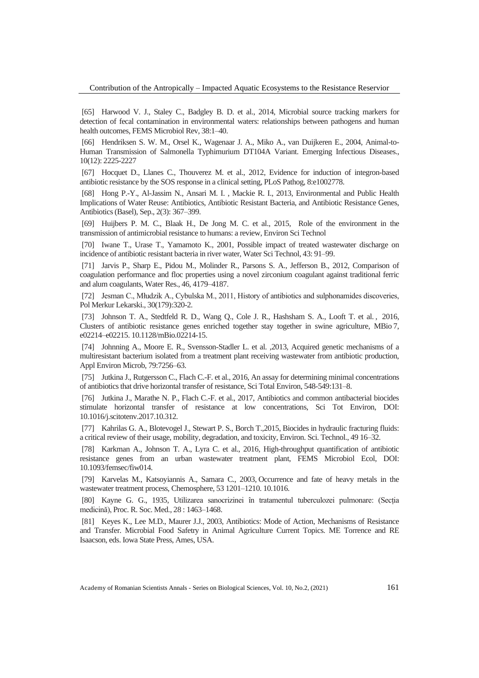[65] Harwood V. J., Staley C., Badgley B. D. et al., 2014, Microbial source tracking markers for detection of fecal contamination in environmental waters: relationships between pathogens and human health outcomes, FEMS Microbiol Rev, 38:1–40.

[66] Hendriksen S. W. M., Orsel K., Wagenaar J. A., Miko A., van Duijkeren E., 2004, Animal-to-Human Transmission of Salmonella Typhimurium DT104A Variant. Emerging Infectious Diseases., 10(12): 2225-2227

[67] Hocquet D., Llanes C., Thouverez M. et al., 2012, Evidence for induction of integron-based antibiotic resistance by the SOS response in a clinical setting, PLoS Pathog, 8:e1002778.

[68] Hong P.-Y., Al-Jassim N., Ansari M. I. , Mackie R. I., 2013, Environmental and Public Health Implications of Water Reuse: Antibiotics, Antibiotic Resistant Bacteria, and Antibiotic Resistance Genes, Antibiotics (Basel), Sep., 2(3): 367–399.

[69] Huijbers P. M. C., Blaak H., De Jong M. C. et al., 2015, Role of the environment in the transmission of antimicrobial resistance to humans: a review, Environ Sci Technol

[70] Iwane T., Urase T., Yamamoto K., 2001, Possible impact of treated wastewater discharge on incidence of antibiotic resistant bacteria in river water, Water Sci Technol, 43: 91–99.

[71] Jarvis P., Sharp E., Pidou M., Molinder R., Parsons S. A., Jefferson B., 2012, Comparison of coagulation performance and floc properties using a novel zirconium coagulant against traditional ferric and alum coagulants, Water Res., 46, 4179–4187.

[72] Jesman C., Młudzik A., Cybulska M., 2011, History of antibiotics and sulphonamides discoveries, Pol Merkur Lekarski., 30(179):320-2.

[73] Johnson T. A., Stedtfeld R. D., Wang Q., Cole J. R., Hashsham S. A., Looft T. et al. , 2016, Clusters of antibiotic resistance genes enriched together stay together in swine agriculture, MBio 7, e02214–e02215. 10.1128/mBio.02214-15.

[74] Johnning A., Moore E. R., Svensson-Stadler L. et al. ,2013, Acquired genetic mechanisms of a multiresistant bacterium isolated from a treatment plant receiving wastewater from antibiotic production, Appl Environ Microb, 79:7256–63.

[75] Jutkina J., Rutgersson C., Flach C.-F. et al., 2016, An assay for determining minimal concentrations of antibiotics that drive horizontal transfer of resistance, Sci Total Environ, 548-549:131–8.

[76] Jutkina J., Marathe N. P., Flach C.-F. et al., 2017, Antibiotics and common antibacterial biocides stimulate horizontal transfer of resistance at low concentrations, Sci Tot Environ, DOI: 10.1016/j.scitotenv.2017.10.312.

[77] Kahrilas G. A., Blotevogel J., Stewart P. S., Borch T.,2015, Biocides in hydraulic fracturing fluids: a critical review of their usage, mobility, degradation, and toxicity, Environ. Sci. Technol., 49 16–32.

[78] Karkman A., Johnson T. A., Lyra C. et al., 2016, High-throughput quantification of antibiotic resistance genes from an urban wastewater treatment plant, FEMS Microbiol Ecol, DOI: 10.1093/femsec/fiw014.

[79] Karvelas M., Katsoyiannis A., Samara C., 2003, Occurrence and fate of heavy metals in the wastewater treatment process, Chemosphere, 53 1201–1210. 10.1016.

[80] Kayne G. G., 1935, Utilizarea sanocrizinei în tratamentul tuberculozei pulmonare: (Secția medicină), Proc. R. Soc. Med., 28 : 1463–1468.

[81] Keyes K., Lee M.D., Maurer J.J., 2003, Antibiotics: Mode of Action, Mechanisms of Resistance and Transfer. Microbial Food Safetry in Animal Agriculture Current Topics. ME Torrence and RE Isaacson, eds. Iowa State Press, Ames, USA.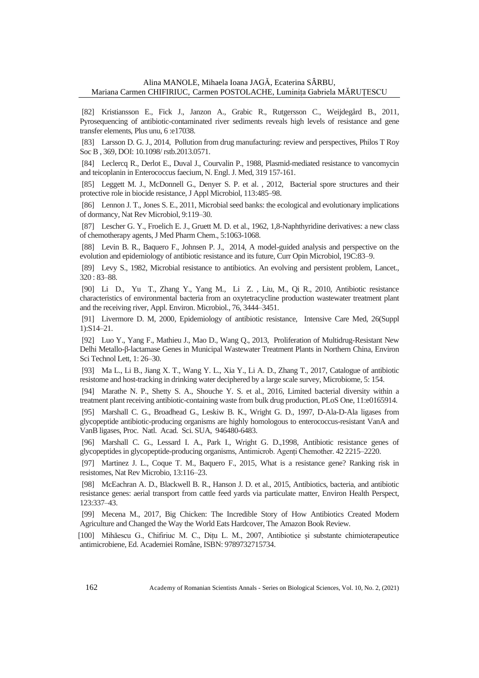[82] Kristiansson E., Fick J., Janzon A., Grabic R., Rutgersson C., Weijdegård B., 2011, Pyrosequencing of antibiotic-contaminated river sediments reveals high levels of resistance and gene transfer elements, Plus unu, 6 :e17038.

[83] Larsson D. G. J., 2014, Pollution from drug manufacturing: review and perspectives, Philos T Roy Soc B , 369, DOI: 10.1098/ rstb.2013.0571.

[84] Leclercq R., Derlot E., Duval J., Courvalin P., 1988, Plasmid-mediated resistance to vancomycin and teicoplanin in Enterococcus faecium, N. Engl. J. Med, 319 157-161.

[85] Leggett M. J., McDonnell G., Denyer S. P. et al., 2012, Bacterial spore structures and their protective role in biocide resistance, J Appl Microbiol, 113:485–98.

[86] Lennon J. T., Jones S. E., 2011, Microbial seed banks: the ecological and evolutionary implications of dormancy, Nat Rev Microbiol, 9:119–30.

[87] Lescher G. Y., Froelich E. J., Gruett M. D. et al., 1962, 1,8-Naphthyridine derivatives: a new class of chemotherapy agents, J Med Pharm Chem., 5:1063-1068.

[88] Levin B. R., Baquero F., Johnsen P. J., 2014, A model-guided analysis and perspective on the evolution and epidemiology of antibiotic resistance and its future, Curr Opin Microbiol, 19C:83–9.

[89] Levy S., 1982, Microbial resistance to antibiotics. An evolving and persistent problem, Lancet., 320 : 83–88.

[90] Li D., Yu T., Zhang Y., Yang M., Li Z. , Liu, M., Qi R., 2010, Antibiotic resistance characteristics of environmental bacteria from an oxytetracycline production wastewater treatment plant and the receiving river, Appl. Environ. Microbiol., 76, 3444–3451.

[91] Livermore D. M, 2000, Epidemiology of antibiotic resistance, Intensive Care Med, 26(Suppl 1):S14–21.

[92] Luo Y., Yang F., Mathieu J., Mao D., Wang Q., 2013, Proliferation of Multidrug-Resistant New Delhi Metallo-β-lactamase Genes in Municipal Wastewater Treatment Plants in Northern China, Environ Sci Technol Lett, 1: 26–30.

[93] Ma L., Li B., Jiang X. T., Wang Y. L., Xia Y., Li A. D., Zhang T., 2017, Catalogue of antibiotic resistome and host-tracking in drinking water deciphered by a large scale survey, Microbiome, 5: 154.

[94] Marathe N. P., Shetty S. A., Shouche Y. S. et al., 2016, Limited bacterial diversity within a treatment plant receiving antibiotic-containing waste from bulk drug production, PLoS One, 11:e0165914.

[95] Marshall C. G., Broadhead G., Leskiw B. K., Wright G. D., 1997, D-Ala-D-Ala ligases from glycopeptide antibiotic-producing organisms are highly homologous to enterococcus-resistant VanA and VanB ligases, Proc. Natl. Acad. Sci. SUA, 946480-6483.

[96] Marshall C. G., Lessard I. A., Park I., Wright G. D.,1998, Antibiotic resistance genes of glycopeptides in glycopeptide-producing organisms, Antimicrob. Agenți Chemother. 42 2215–2220.

[97] Martinez J. L., Coque T. M., Baquero F., 2015, What is a resistance gene? Ranking risk in resistomes, Nat Rev Microbio, 13:116–23.

[98] McEachran A. D., Blackwell B. R., Hanson J. D. et al., 2015, Antibiotics, bacteria, and antibiotic resistance genes: aerial transport from cattle feed yards via particulate matter, Environ Health Perspect, 123:337–43.

[99] Mecena M., 2017, Big Chicken: The Incredible Story of How Antibiotics Created Modern Agriculture and Changed the Way the World Eats Hardcover, The Amazon Book Review.

[100] Mihăescu G., Chifiriuc M. C., Dițu L. M., 2007, Antibiotice și substante chimioterapeutice antimicrobiene, Ed. Academiei Române, ISBN: 9789732715734.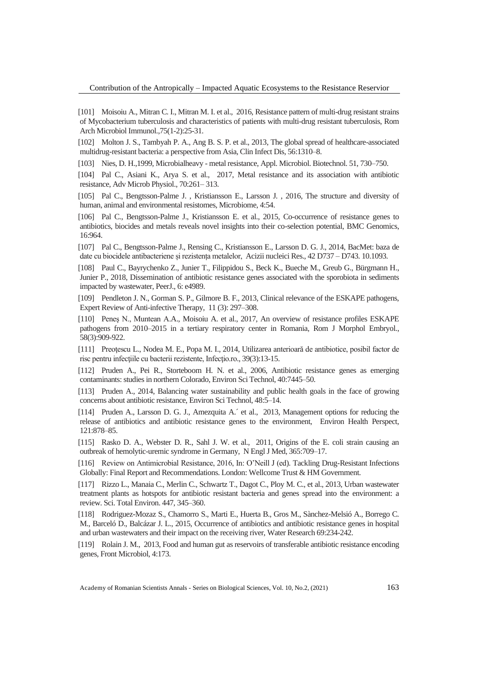[101] Moisoiu A., Mitran C. I., Mitran M. I. et al., 2016, Resistance pattern of multi-drug resistant strains of Mycobacterium tuberculosis and characteristics of patients with multi-drug resistant tuberculosis, Rom Arch Microbiol Immunol.,75(1-2):25-31.

[102] Molton J. S., Tambyah P. A., Ang B. S. P. et al., 2013, The global spread of healthcare-associated multidrug-resistant bacteria: a perspective from Asia, Clin Infect Dis, 56:1310–8.

[103] Nies, D. H.,1999, Microbialheavy - metal resistance, Appl. Microbiol. Biotechnol. 51, 730–750.

[104] Pal C., Asiani K., Arya S. et al., 2017, Metal resistance and its association with antibiotic resistance, Adv Microb Physiol., 70:261– 313.

[105] Pal C., Bengtsson-Palme J. , Kristiansson E., Larsson J. , 2016, The structure and diversity of human, animal and environmental resistomes, Microbiome, 4:54.

[106] Pal C., Bengtsson-Palme J., Kristiansson E. et al., 2015, Co-occurrence of resistance genes to antibiotics, biocides and metals reveals novel insights into their co-selection potential, BMC Genomics, 16:964.

[107] Pal C., Bengtsson-Palme J., Rensing C., Kristiansson E., Larsson D. G. J., 2014, BacMet: baza de date cu biocidele antibacteriene și rezistența metalelor, Acizii nucleici Res., 42 D737 – D743. 10.1093.

[108] Paul C., Bayrychenko Z., Junier T., Filippidou S., Beck K., Bueche M., Greub G., Bürgmann H., Junier P., 2018, Dissemination of antibiotic resistance genes associated with the sporobiota in sediments impacted by wastewater, PeerJ., 6: e4989.

[109] Pendleton J. N., Gorman S. P., Gilmore B. F., 2013, Clinical relevance of the ESKAPE pathogens, Expert Review of Anti-infective Therapy, 11 (3): 297–308.

[110] Peneş N., Muntean A.A., Moisoiu A. et al., 2017, An overview of resistance profiles ESKAPE pathogens from 2010–2015 in a tertiary respiratory center in Romania, Rom J Morphol Embryol., 58(3):909-922.

[111] Preoţescu L., Nodea M. E., Popa M. I., 2014, Utilizarea anterioară de antibiotice, posibil factor de risc pentru infectiile cu bacterii rezistente, Infectio.ro., 39(3):13-15.

[112] Pruden A., Pei R., Storteboom H. N. et al., 2006, Antibiotic resistance genes as emerging contaminants: studies in northern Colorado, Environ Sci Technol, 40:7445–50.

[113] Pruden A., 2014, Balancing water sustainability and public health goals in the face of growing concerns about antibiotic resistance, Environ Sci Technol, 48:5–14.

[114] Pruden A., Larsson D. G. J., Amezquita A.´ et al., 2013, Management options for reducing the release of antibiotics and antibiotic resistance genes to the environment, Environ Health Perspect, 121:878–85.

[115] Rasko D. A., Webster D. R., Sahl J. W. et al., 2011, Origins of the E. coli strain causing an outbreak of hemolytic-uremic syndrome in Germany, N Engl J Med, 365:709–17.

[116] Review on Antimicrobial Resistance, 2016, In: O'Neill J (ed). Tackling Drug-Resistant Infections Globally: Final Report and Recommendations. London: Wellcome Trust & HM Government.

[117] Rizzo L., Manaia C., Merlin C., Schwartz T., Dagot C., Ploy M. C., et al., 2013, Urban wastewater treatment plants as hotspots for antibiotic resistant bacteria and genes spread into the environment: a review. Sci. Total Environ. 447, 345–360.

[118] Rodriguez-Mozaz S., Chamorro S., Marti E., Huerta B., Gros M., Sànchez-Melsió A., Borrego C. M., Barceló D., Balcázar J. L., 2015, Occurrence of antibiotics and antibiotic resistance genes in hospital and urban wastewaters and their impact on the receiving river, Water Research 69:234-242.

[119] Rolain J. M., 2013, Food and human gut as reservoirs of transferable antibiotic resistance encoding genes, Front Microbiol, 4:173.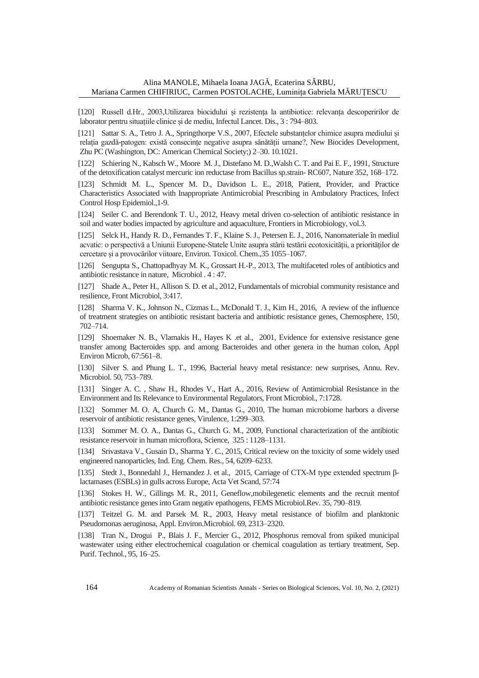[120] Russell d.Hr., 2003,Utilizarea biocidului și rezistența la antibiotice: relevanța descoperirilor de laborator pentru situațiile clinice și de mediu, Infectul Lancet. Dis., 3 : 794–803.

[121] Sattar S. A., Tetro J. A., Springthorpe V.S., 2007, Efectele substanțelor chimice asupra mediului și relația gazdă-patogen: există consecințe negative asupra sănătății umane?, New Biocides Development, Zhu PC (Washington, DC: American Chemical Society;) 2–30. 10.1021.

[122] Schiering N., Kabsch W., Moore M. J., Distefano M. D.,Walsh C. T. and Pai E. F., 1991, Structure of the detoxification catalyst mercuric ion reductase from Bacillus sp.strain- RC607, Nature 352, 168–172.

[123] Schmidt M. L., Spencer M. D., Davidson L. E., 2018, Patient, Provider, and Practice Characteristics Associated with Inappropriate Antimicrobial Prescribing in Ambulatory Practices, Infect Control Hosp Epidemiol.,1-9.

[124] Seiler C. and Berendonk T. U., 2012, Heavy metal driven co-selection of antibiotic resistance in soil and water bodies impacted by agriculture and aquaculture, Frontiers in Microbiology, vol.3.

[125] Selck H., Handy R. D., Fernandes T. F., Klaine S. J., Petersen E. J., 2016, Nanomateriale în mediul acvatic: o perspectivă a Uniunii Europene-Statele Unite asupra stării testării ecotoxicității, a priorităților de cercetare și a provocărilor viitoare, Environ. Toxicol. Chem.,35 1055–1067.

[126] Sengupta S., Chattopadhyay M. K., Grossart H.-P., 2013, The multifaceted roles of antibiotics and antibiotic resistance in nature, Microbiol . 4 : 47.

[127] Shade A., Peter H., Allison S. D. et al., 2012, Fundamentals of microbial community resistance and resilience, Front Microbiol, 3:417.

[128] Sharma V. K., Johnson N., Cizmas L., McDonald T. J., Kim H., 2016, A review of the influence of treatment strategies on antibiotic resistant bacteria and antibiotic resistance genes, Chemosphere, 150, 702–714.

[129] Shoemaker N. B., Vlamakis H., Hayes K .et al., 2001, Evidence for extensive resistance gene transfer among Bacteroides spp. and among Bacteroides and other genera in the human colon, Appl Environ Microb, 67:561–8.

[130] Silver S. and Phung L. T., 1996, Bacterial heavy metal resistance: new surprises, Annu. Rev. Microbiol. 50, 753–789.

[131] Singer A. C. , Shaw H., Rhodes V., Hart A., 2016, Review of Antimicrobial Resistance in the Environment and Its Relevance to Environmental Regulators, Front Microbiol., 7:1728.

[132] Sommer M. O. A, Church G. M., Dantas G., 2010, The human microbiome harbors a diverse reservoir of antibiotic resistance genes, Virulence, 1:299–303.

[133] Sommer M. O. A., Dantas G., Church G. M., 2009, Functional characterization of the antibiotic resistance reservoir in human microflora, Science, 325 : 1128–1131.

[134] Srivastava V., Gusain D., Sharma Y. C., 2015, Critical review on the toxicity of some widely used engineered nanoparticles, Ind. Eng. Chem. Res., 54, 6209–6233.

[135] Stedt J., Bonnedahl J., Hernandez J. et al., 2015, Carriage of CTX-M type extended spectrum βlactamases (ESBLs) in gulls across Europe, Acta Vet Scand, 57:74

[136] Stokes H. W., Gillings M. R., 2011, Geneflow,mobilegenetic elements and the recruit mentof antibiotic resistance genes into Gram negativ epathogens, FEMS Microbiol.Rev. 35, 790–819.

[137] Teitzel G. M. and Parsek M. R., 2003, Heavy metal resistance of biofilm and planktonic Pseudomonas aeruginosa, Appl. Environ.Microbiol. 69, 2313–2320.

[138] Tran N., Drogui P., Blais J. F., Mercier G., 2012, Phosphorus removal from spiked municipal wastewater using either electrochemical coagulation or chemical coagulation as tertiary treatment, Sep. Purif. Technol., 95, 16–25.